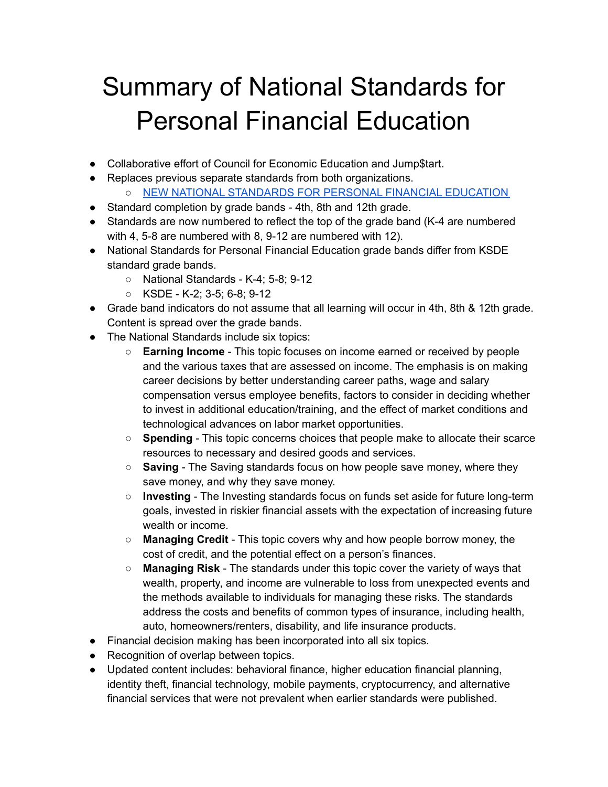## Summary of National Standards for Personal Financial Education

- Collaborative effort of Council for Economic Education and Jump\$tart.
- Replaces previous separate standards from both organizations.
	- NEW NATIONAL [STANDARDS](https://3yxm0a3wfgvh5wbo7lvyyl13-wpengine.netdna-ssl.com/wp-content/uploads/2021/10/New-Standards-for-Personal-Financial-Education-news-release-10-21-21-JumpStart-CEE.pdf) FOR PERSONAL FINANCIAL EDUCATION
- Standard completion by grade bands 4th, 8th and 12th grade.
- Standards are now numbered to reflect the top of the grade band (K-4 are numbered with 4, 5-8 are numbered with 8, 9-12 are numbered with 12).
- National Standards for Personal Financial Education grade bands differ from KSDE standard grade bands.
	- National Standards K-4; 5-8; 9-12
	- KSDE K-2; 3-5; 6-8; 9-12
- Grade band indicators do not assume that all learning will occur in 4th, 8th & 12th grade. Content is spread over the grade bands.
- The National Standards include six topics:
	- **Earning Income** This topic focuses on income earned or received by people and the various taxes that are assessed on income. The emphasis is on making career decisions by better understanding career paths, wage and salary compensation versus employee benefits, factors to consider in deciding whether to invest in additional education/training, and the effect of market conditions and technological advances on labor market opportunities.
	- **Spending** This topic concerns choices that people make to allocate their scarce resources to necessary and desired goods and services.
	- **Saving** The Saving standards focus on how people save money, where they save money, and why they save money.
	- **Investing** The Investing standards focus on funds set aside for future long-term goals, invested in riskier financial assets with the expectation of increasing future wealth or income.
	- **Managing Credit** This topic covers why and how people borrow money, the cost of credit, and the potential effect on a person's finances.
	- **Managing Risk** The standards under this topic cover the variety of ways that wealth, property, and income are vulnerable to loss from unexpected events and the methods available to individuals for managing these risks. The standards address the costs and benefits of common types of insurance, including health, auto, homeowners/renters, disability, and life insurance products.
- Financial decision making has been incorporated into all six topics.
- Recognition of overlap between topics.
- Updated content includes: behavioral finance, higher education financial planning, identity theft, financial technology, mobile payments, cryptocurrency, and alternative financial services that were not prevalent when earlier standards were published.